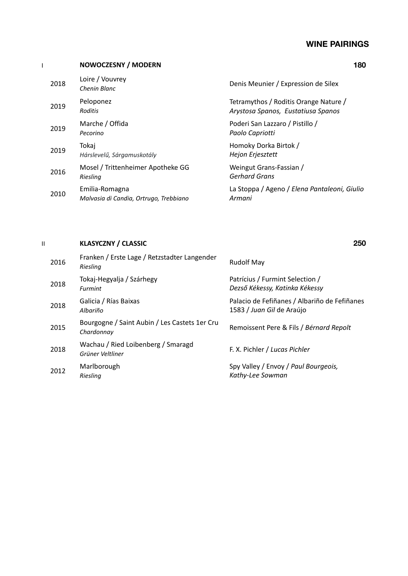### **WINE PAIRINGS**

|      | <b>NOWOCZESNY / MODERN</b>                               | 180                                                                         |
|------|----------------------------------------------------------|-----------------------------------------------------------------------------|
| 2018 | Loire / Vouvrey<br>Chenin Blanc                          | Denis Meunier / Expression de Silex                                         |
| 2019 | Peloponez<br>Roditis                                     | Tetramythos / Roditis Orange Nature /<br>Arystosa Spanos, Eustatiusa Spanos |
| 2019 | Marche / Offida<br>Pecorino                              | Poderi San Lazzaro / Pistillo /<br>Paolo Capriotti                          |
| 2019 | Tokaj<br>Hárslevelű, Sárgamuskotály                      | Homoky Dorka Birtok /<br>Hejon Erjesztett                                   |
| 2016 | Mosel / Trittenheimer Apotheke GG<br>Riesling            | Weingut Grans-Fassian /<br><b>Gerhard Grans</b>                             |
| 2010 | Emilia-Romagna<br>Malvasia di Candia, Ortrugo, Trebbiano | La Stoppa / Ageno / Elena Pantaleoni, Giulio<br>Armani                      |
|      |                                                          |                                                                             |

#### II **KLASYCZNY / CLASSIC 250**

#### <sup>2016</sup> Franken / Erste Lage / Retzstadter Langender *Riesling* Rudolf May <sup>2018</sup> Tokaj-Hegyalja / Szárhegy *Furmint* Patrícius / Furmint Selection / *Dezső Kékessy, Katinka Kékessy* <sup>2018</sup> Galicia / Rías Baixas *Albariño* Palacio de Fefiñanes / Albariño de Fefiñanes 1583 / *Juan Gil* de Araújo <sup>2015</sup> Bourgogne / Saint Aubin / Les Castets 1er Cru *Chardonnay* Remoissent Pere & Fils / *Bérnard Repolt* 2018 Wachau / Ried Loibenberg / Smaragd<br>Grüner Veltliner *Grüner Veltliner* F. X. Pichler / *Lucas Pichler* <sup>2012</sup> Marlborough *Riesling* Spy Valley / Envoy / *Paul Bourgeois, Kathy-Lee Sowman*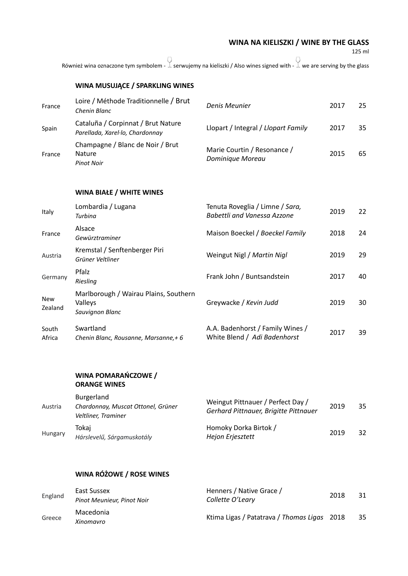**WINA NA KIELISZKI / WINE BY THE GLASS** 

125 ml

Również wina oznaczone tym symbolem -  $\overset{\bigcirc}{\perp}$  serwujemy na kieliszki / Also wines signed with -  $\overset{\bigcirc}{\perp}$  we are serving by the glass

|                       | WINA MUSUJĄCE / SPARKLING WINES                                         |                                                                            |      |    |
|-----------------------|-------------------------------------------------------------------------|----------------------------------------------------------------------------|------|----|
| France                | Loire / Méthode Traditionnelle / Brut<br>Chenin Blanc                   | Denis Meunier                                                              | 2017 | 25 |
| Spain                 | Cataluña / Corpinnat / Brut Nature<br>Parellada, Xarel·lo, Chardonnay   | Llopart / Integral / Llopart Family                                        | 2017 | 35 |
| France                | Champagne / Blanc de Noir / Brut<br>Nature<br><b>Pinot Noir</b>         | Marie Courtin / Resonance /<br>Dominique Moreau                            | 2015 | 65 |
|                       | <b>WINA BIAŁE / WHITE WINES</b>                                         |                                                                            |      |    |
| Italy                 | Lombardia / Lugana<br>Turbina                                           | Tenuta Roveglia / Limne / Sara,<br><b>Babettli and Vanessa Azzone</b>      | 2019 | 22 |
| France                | Alsace<br>Gewürztraminer                                                | Maison Boeckel / Boeckel Family                                            | 2018 | 24 |
| Austria               | Kremstal / Senftenberger Piri<br>Grüner Veltliner                       | Weingut Nigl / Martin Nigl                                                 | 2019 | 29 |
| Germany               | Pfalz<br>Riesling                                                       | Frank John / Buntsandstein                                                 | 2017 | 40 |
| <b>New</b><br>Zealand | Marlborough / Wairau Plains, Southern<br>Valleys<br>Sauvignon Blanc     | Greywacke / Kevin Judd                                                     | 2019 | 30 |
| South<br>Africa       | Swartland<br>Chenin Blanc, Rousanne, Marsanne,+6                        | A.A. Badenhorst / Family Wines /<br>White Blend / Adi Badenhorst           | 2017 | 39 |
|                       | WINA POMARAŃCZOWE /<br><b>ORANGE WINES</b>                              |                                                                            |      |    |
| Austria               | Burgerland<br>Chardonnay, Muscat Ottonel, Grüner<br>Veltliner, Traminer | Weingut Pittnauer / Perfect Day /<br>Gerhard Pittnauer, Brigitte Pittnauer | 2019 | 35 |
| Hungary               | Tokaj<br>Hárslevelű, Sárgamuskotály                                     | Homoky Dorka Birtok /<br>Hejon Erjesztett                                  | 2019 | 32 |

# **WINA RÓŻOWE / ROSE WINES**

| England | East Sussex<br>Pinot Meunieur, Pinot Noir | Henners / Native Grace /<br>Collette O'Leary | 2018 | 31 |
|---------|-------------------------------------------|----------------------------------------------|------|----|
| Greece  | Macedonia<br>Xinomavro                    | Ktima Ligas / Patatrava / Thomas Ligas 2018  |      | 35 |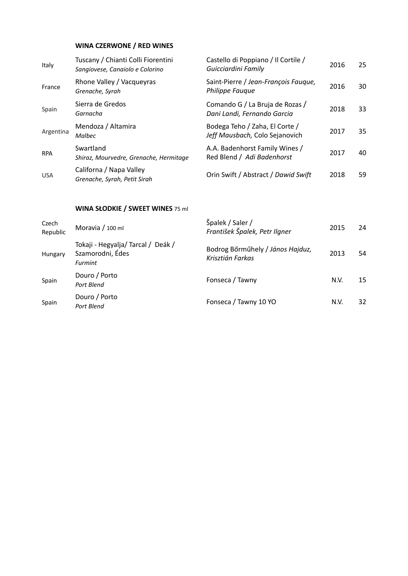### **WINA CZERWONE / RED WINES**

| Italy      | Tuscany / Chianti Colli Fiorentini<br>Sangiovese, Canaiolo e Colorino | Castello di Poppiano / Il Cortile /<br>Guicciardini Family       | 2016 | 25 |
|------------|-----------------------------------------------------------------------|------------------------------------------------------------------|------|----|
| France     | Rhone Valley / Vacqueyras<br>Grenache, Syrah                          | Saint-Pierre / Jean-François Fauque,<br><b>Philippe Faugue</b>   | 2016 | 30 |
| Spain      | Sierra de Gredos<br>Garnacha                                          | Comando G / La Bruja de Rozas /<br>Dani Landi, Fernando Garcia   | 2018 | 33 |
| Argentina  | Mendoza / Altamira<br>Malbec                                          | Bodega Teho / Zaha, El Corte /<br>Jeff Mausbach, Colo Sejanovich | 2017 | 35 |
| <b>RPA</b> | Swartland<br>Shiraz, Mourvedre, Grenache, Hermitage                   | A.A. Badenhorst Family Wines /<br>Red Blend / Adi Badenhorst     | 2017 | 40 |
| <b>USA</b> | Californa / Napa Valley<br>Grenache, Syrah, Petit Sirah               | Orin Swift / Abstract / Dawid Swift                              | 2018 | 59 |

### **WINA SŁODKIE / SWEET WINES** 75 ml

| Czech<br>Republic | Moravia / 100 ml                                                        | Špalek / Saler /<br>František Špalek, Petr Ilgner    | 2015 | 24 |
|-------------------|-------------------------------------------------------------------------|------------------------------------------------------|------|----|
| Hungary           | Tokaji - Hegyalja/Tarcal / Deák /<br>Szamorodni, Édes<br><b>Furmint</b> | Bodrog Bőrműhely / János Hajduz,<br>Krisztián Farkas | 2013 | 54 |
| Spain             | Douro / Porto<br>Port Blend                                             | Fonseca / Tawny                                      | N.V. | 15 |
| Spain             | Douro / Porto<br>Port Blend                                             | Fonseca / Tawny 10 YO                                | N.V. | 32 |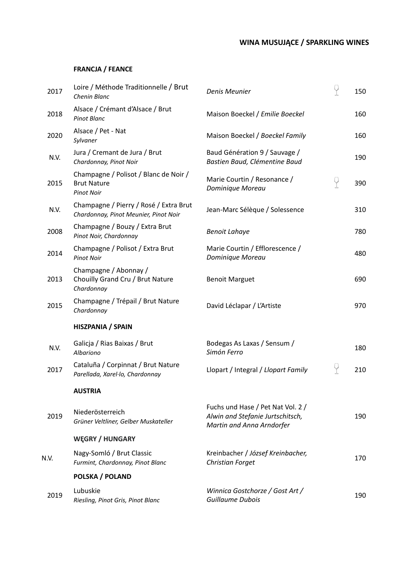## **WINA MUSUJĄCE / SPARKLING WINES**

## **FRANCJA / FEANCE**

| 2017 | Loire / Méthode Traditionnelle / Brut<br>Chenin Blanc                            | Denis Meunier                                                                                      | 9 | 150 |
|------|----------------------------------------------------------------------------------|----------------------------------------------------------------------------------------------------|---|-----|
| 2018 | Alsace / Crémant d'Alsace / Brut<br><b>Pinot Blanc</b>                           | Maison Boeckel / Emilie Boeckel                                                                    |   | 160 |
| 2020 | Alsace / Pet - Nat<br>Sylvaner                                                   | Maison Boeckel / Boeckel Family                                                                    |   | 160 |
| N.V. | Jura / Cremant de Jura / Brut<br>Chardonnay, Pinot Noir                          | Baud Génération 9 / Sauvage /<br>Bastien Baud, Clémentine Baud                                     |   | 190 |
| 2015 | Champagne / Polisot / Blanc de Noir /<br><b>Brut Nature</b><br><b>Pinot Noir</b> | Marie Courtin / Resonance /<br>Dominique Moreau                                                    | Ÿ | 390 |
| N.V. | Champagne / Pierry / Rosé / Extra Brut<br>Chardonnay, Pinot Meunier, Pinot Noir  | Jean-Marc Sélèque / Solessence                                                                     |   | 310 |
| 2008 | Champagne / Bouzy / Extra Brut<br>Pinot Noir, Chardonnay                         | <b>Benoit Lahaye</b>                                                                               |   | 780 |
| 2014 | Champagne / Polisot / Extra Brut<br><b>Pinot Noir</b>                            | Marie Courtin / Efflorescence /<br>Dominique Moreau                                                |   | 480 |
| 2013 | Champagne / Abonnay /<br>Chouilly Grand Cru / Brut Nature<br>Chardonnay          | <b>Benoit Marguet</b>                                                                              |   | 690 |
| 2015 | Champagne / Trépail / Brut Nature<br>Chardonnay                                  | David Léclapar / L'Artiste                                                                         |   | 970 |
|      | <b>HISZPANIA / SPAIN</b>                                                         |                                                                                                    |   |     |
| N.V. | Galicja / Rias Baixas / Brut<br>Albariono                                        | Bodegas As Laxas / Sensum /<br>Simón Ferro                                                         |   | 180 |
| 2017 | Cataluña / Corpinnat / Brut Nature<br>Parellada, Xarel·lo, Chardonnay            | Llopart / Integral / Llopart Family                                                                | Y | 210 |
|      | <b>AUSTRIA</b>                                                                   |                                                                                                    |   |     |
| 2019 | Niederösterreich<br>Grüner Veltliner, Gelber Muskateller                         | Fuchs und Hase / Pet Nat Vol. 2 /<br>Alwin and Stefanie Jurtschitsch,<br>Martin and Anna Arndorfer |   | 190 |
|      | <b>WEGRY / HUNGARY</b>                                                           |                                                                                                    |   |     |
| N.V. | Nagy-Somló / Brut Classic<br>Furmint, Chardonnay, Pinot Blanc                    | Kreinbacher / József Kreinbacher,<br>Christian Forget                                              |   | 170 |
|      | POLSKA / POLAND                                                                  |                                                                                                    |   |     |
| 2019 | Lubuskie<br>Riesling, Pinot Gris, Pinot Blanc                                    | Winnica Gostchorze / Gost Art /<br>Guillaume Dubois                                                |   | 190 |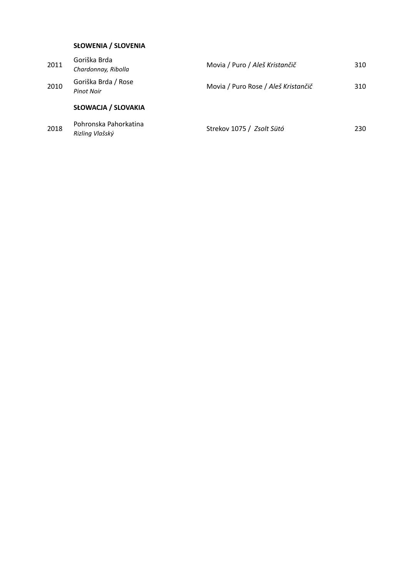### **SŁOWENIA / SLOVENIA**

| 2018 | Pohronska Pahorkatina<br>Rizling Vlašský | Strekov 1075 / Zsolt Sütó           | 230 |
|------|------------------------------------------|-------------------------------------|-----|
|      | <b>SŁOWACJA / SLOVAKIA</b>               |                                     |     |
| 2010 | Goriška Brda / Rose<br><b>Pinot Noir</b> | Movia / Puro Rose / Aleš Kristančič | 310 |
| 2011 | Goriška Brda<br>Chardonnay, Ribolla      | Movia / Puro / Aleš Kristančič      | 310 |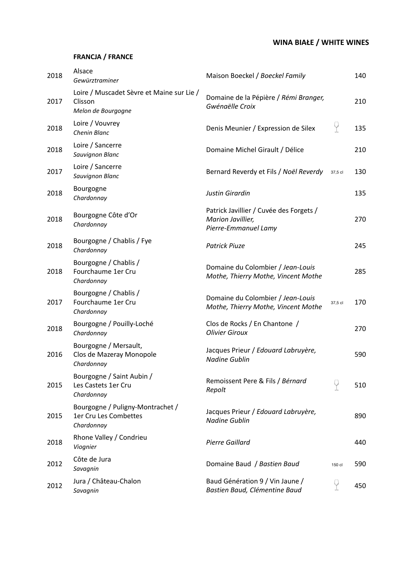## **WINA BIAŁE / WHITE WINES**

### **FRANCJA / FRANCE**

| 2018 | Alsace<br>Gewürztraminer                                                   | Maison Boeckel / Boeckel Family                                                      |         | 140 |
|------|----------------------------------------------------------------------------|--------------------------------------------------------------------------------------|---------|-----|
| 2017 | Loire / Muscadet Sèvre et Maine sur Lie /<br>Clisson<br>Melon de Bourgogne | Domaine de la Pépière / Rémi Branger,<br>Gwénaëlle Croix                             |         | 210 |
| 2018 | Loire / Vouvrey<br>Chenin Blanc                                            | Denis Meunier / Expression de Silex                                                  | Ÿ       | 135 |
| 2018 | Loire / Sancerre<br>Sauvignon Blanc                                        | Domaine Michel Girault / Délice                                                      |         | 210 |
| 2017 | Loire / Sancerre<br>Sauvignon Blanc                                        | Bernard Reverdy et Fils / Noël Reverdy                                               | 37,5 cl | 130 |
| 2018 | Bourgogne<br>Chardonnay                                                    | Justin Girardin                                                                      |         | 135 |
| 2018 | Bourgogne Côte d'Or<br>Chardonnay                                          | Patrick Javillier / Cuvée des Forgets /<br>Marion Javillier,<br>Pierre-Emmanuel Lamy |         | 270 |
| 2018 | Bourgogne / Chablis / Fye<br>Chardonnay                                    | <b>Patrick Piuze</b>                                                                 |         | 245 |
| 2018 | Bourgogne / Chablis /<br>Fourchaume 1er Cru<br>Chardonnay                  | Domaine du Colombier / Jean-Louis<br>Mothe, Thierry Mothe, Vincent Mothe             |         | 285 |
| 2017 | Bourgogne / Chablis /<br>Fourchaume 1er Cru<br>Chardonnay                  | Domaine du Colombier / Jean-Louis<br>Mothe, Thierry Mothe, Vincent Mothe             | 37,5 cl | 170 |
| 2018 | Bourgogne / Pouilly-Loché<br>Chardonnay                                    | Clos de Rocks / En Chantone /<br><b>Olivier Giroux</b>                               |         | 270 |
| 2016 | Bourgogne / Mersault,<br>Clos de Mazeray Monopole<br>Chardonnay            | Jacques Prieur / Edouard Labruyère,<br><b>Nadine Gublin</b>                          |         | 590 |
| 2015 | Bourgogne / Saint Aubin /<br>Les Castets 1er Cru<br>Chardonnay             | Remoissent Pere & Fils / Bérnard<br>Repolt                                           |         | 510 |
| 2015 | Bourgogne / Puligny-Montrachet /<br>1er Cru Les Combettes<br>Chardonnay    | Jacques Prieur / Edouard Labruyère,<br><b>Nadine Gublin</b>                          |         | 890 |
| 2018 | Rhone Valley / Condrieu<br>Viognier                                        | <b>Pierre Gaillard</b>                                                               |         | 440 |
| 2012 | Côte de Jura<br>Savagnin                                                   | Domaine Baud / Bastien Baud                                                          | 150 cl  | 590 |
| 2012 | Jura / Château-Chalon<br>Savagnin                                          | Baud Génération 9 / Vin Jaune /<br>Bastien Baud, Clémentine Baud                     | Y       | 450 |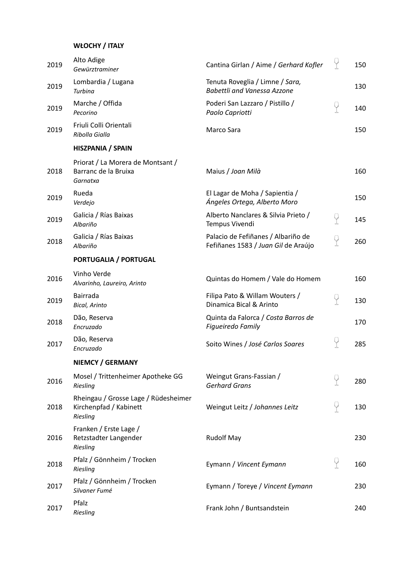### **WŁOCHY / ITALY**

| 2019 | Alto Adige<br>Gewürztraminer                                               | Cantina Girlan / Aime / Gerhard Kofler                                    |   | 150 |
|------|----------------------------------------------------------------------------|---------------------------------------------------------------------------|---|-----|
| 2019 | Lombardia / Lugana<br>Turbina                                              | Tenuta Roveglia / Limne / Sara,<br><b>Babettli and Vanessa Azzone</b>     |   | 130 |
| 2019 | Marche / Offida<br>Pecorino                                                | Poderi San Lazzaro / Pistillo /<br>Paolo Capriotti                        | P | 140 |
| 2019 | Friuli Colli Orientali<br>Ribolla Gialla                                   | Marco Sara                                                                |   | 150 |
|      | HISZPANIA / SPAIN                                                          |                                                                           |   |     |
| 2018 | Priorat / La Morera de Montsant /<br>Barranc de la Bruixa<br>Garnatxa      | Maius / Joan Milà                                                         |   | 160 |
| 2019 | Rueda<br>Verdejo                                                           | El Lagar de Moha / Sapientia /<br>Ángeles Ortega, Alberto Moro            |   | 150 |
| 2019 | Galicia / Rías Baixas<br>Albariño                                          | Alberto Nanclares & Silvia Prieto /<br>Tempus Vivendi                     | 9 | 145 |
| 2018 | Galicia / Rías Baixas<br>Albariño                                          | Palacio de Fefiñanes / Albariño de<br>Fefiñanes 1583 / Juan Gil de Araújo | P | 260 |
|      | PORTUGALIA / PORTUGAL                                                      |                                                                           |   |     |
| 2016 | Vinho Verde<br>Alvarinho, Laureiro, Arinto                                 | Quintas do Homem / Vale do Homem                                          |   | 160 |
| 2019 | Bairrada<br><b>Bical, Arinto</b>                                           | Filipa Pato & Willam Wouters /<br>Dinamica Bical & Arinto                 | q | 130 |
| 2018 | Dão, Reserva<br>Encruzado                                                  | Quinta da Falorca / Costa Barros de<br>Figueiredo Family                  |   | 170 |
| 2017 | Dão, Reserva<br>Encruzado                                                  | Soito Wines / José Carlos Soares                                          | Y | 285 |
|      | <b>NIEMCY / GERMANY</b>                                                    |                                                                           |   |     |
| 2016 | Mosel / Trittenheimer Apotheke GG<br>Riesling                              | Weingut Grans-Fassian /<br><b>Gerhard Grans</b>                           | Y | 280 |
| 2018 | Rheingau / Grosse Lage / Rüdesheimer<br>Kirchenpfad / Kabinett<br>Riesling | Weingut Leitz / Johannes Leitz                                            | P | 130 |
| 2016 | Franken / Erste Lage /<br>Retzstadter Langender<br>Riesling                | <b>Rudolf May</b>                                                         |   | 230 |
| 2018 | Pfalz / Gönnheim / Trocken<br>Riesling                                     | Eymann / Vincent Eymann                                                   | Ÿ | 160 |
| 2017 | Pfalz / Gönnheim / Trocken<br>Silvaner Fumé                                | Eymann / Toreye / Vincent Eymann                                          |   | 230 |
| 2017 | Pfalz<br>Riesling                                                          | Frank John / Buntsandstein                                                |   | 240 |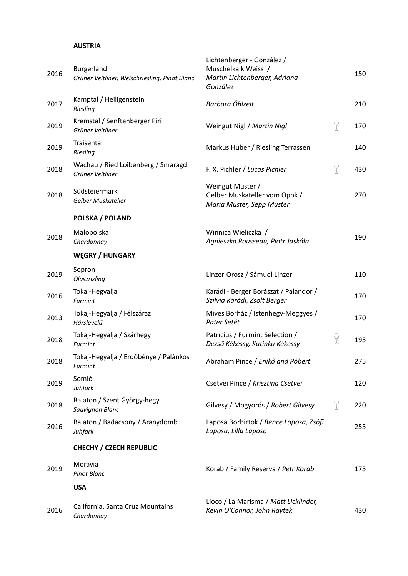#### **AUSTRIA**

| 2016 | Burgerland<br>Grüner Veltliner, Welschriesling, Pinot Blanc | Lichtenberger - González /<br>Muschelkalk Weiss /<br>Martin Lichtenberger, Adriana<br>González |   | 150 |
|------|-------------------------------------------------------------|------------------------------------------------------------------------------------------------|---|-----|
| 2017 | Kamptal / Heiligenstein<br>Riesling                         | Barbara Öhlzelt                                                                                |   | 210 |
| 2019 | Kremstal / Senftenberger Piri<br>Grüner Veltliner           | Weingut Nigl / Martin Nigl                                                                     | P | 170 |
| 2019 | Traisental<br>Riesling                                      | Markus Huber / Riesling Terrassen                                                              |   | 140 |
| 2018 | Wachau / Ried Loibenberg / Smaragd<br>Grüner Veltliner      | F. X. Pichler / Lucas Pichler                                                                  | 9 | 430 |
| 2018 | Südsteiermark<br>Gelber Muskateller                         | Weingut Muster /<br>Gelber Muskateller vom Opok /<br>Maria Muster, Sepp Muster                 |   | 270 |
|      | POLSKA / POLAND                                             |                                                                                                |   |     |
| 2018 | Małopolska<br>Chardonnay                                    | Winnica Wieliczka /<br>Agnieszka Rousseau, Piotr Jaskóła                                       |   | 190 |
|      | <b>WEGRY / HUNGARY</b>                                      |                                                                                                |   |     |
| 2019 | Sopron<br>Olaszrizling                                      | Linzer-Orosz / Sámuel Linzer                                                                   |   | 110 |
| 2016 | Tokaj-Hegyalja<br>Furmint                                   | Karádi - Berger Borászat / Palandor /<br>Szilvia Karádi, Zsolt Berger                          |   | 170 |
| 2013 | Tokaj-Hegyalja / Félszáraz<br>Hárslevelű                    | Mives Borház / Istenhegy-Meggyes /<br>Pater Setét                                              |   | 170 |
| 2018 | Tokaj-Hegyalja / Szárhegy<br>Furmint                        | Patrícius / Furmint Selection /<br>Dezső Kékessy, Katinka Kékessy                              | P | 195 |
| 2018 | Tokaj-Hegyalja / Erdőbénye / Palánkos<br>Furmint            | Abraham Pince / Enikő and Róbert                                                               |   | 275 |
| 2019 | Somló<br>Juhfark                                            | Csetvei Pince / Krisztina Csetvei                                                              |   | 120 |
| 2018 | Balaton / Szent György-hegy<br>Sauvignon Blanc              | Gilvesy / Mogyorós / Robert Gilvesy                                                            | Ÿ | 220 |
| 2016 | Balaton / Badacsony / Aranydomb<br>Juhfark                  | Laposa Borbirtok / Bence Laposa, Zsófi<br>Laposa, Lilla Laposa                                 |   | 255 |
|      | <b>CHECHY / CZECH REPUBLIC</b>                              |                                                                                                |   |     |
| 2019 | Moravia<br><b>Pinot Blanc</b>                               | Korab / Family Reserva / Petr Korab                                                            |   | 175 |
|      | <b>USA</b>                                                  |                                                                                                |   |     |
| 2016 | California, Santa Cruz Mountains<br>Chardonnay              | Lioco / La Marisma / Matt Licklinder,<br>Kevin O'Connor, John Raytek                           |   | 430 |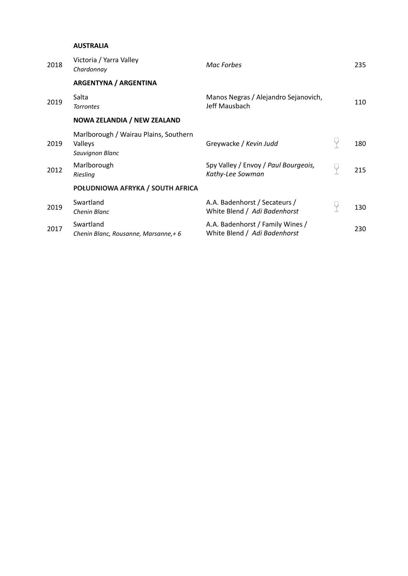#### **AUSTRALIA**

| 2018 | Victoria / Yarra Valley<br>Chardonnay                               | Mac Forbes                                                       | 235 |
|------|---------------------------------------------------------------------|------------------------------------------------------------------|-----|
|      | <b>ARGENTYNA / ARGENTINA</b>                                        |                                                                  |     |
| 2019 | Salta<br><b>Torrontes</b>                                           | Manos Negras / Alejandro Sejanovich,<br>Jeff Mausbach            | 110 |
|      | <b>NOWA ZELANDIA / NEW ZEALAND</b>                                  |                                                                  |     |
| 2019 | Marlborough / Wairau Plains, Southern<br>Valleys<br>Sauvignon Blanc | Greywacke / Kevin Judd                                           | 180 |
| 2012 | Marlborough<br>Riesling                                             | Spy Valley / Envoy / Paul Bourgeois,<br>Kathy-Lee Sowman         | 215 |
|      | POŁUDNIOWA AFRYKA / SOUTH AFRICA                                    |                                                                  |     |
| 2019 | Swartland<br>Chenin Blanc                                           | A.A. Badenhorst / Secateurs /<br>White Blend / Adi Badenhorst    | 130 |
| 2017 | Swartland<br>Chenin Blanc, Rousanne, Marsanne,+ 6                   | A.A. Badenhorst / Family Wines /<br>White Blend / Adi Badenhorst | 230 |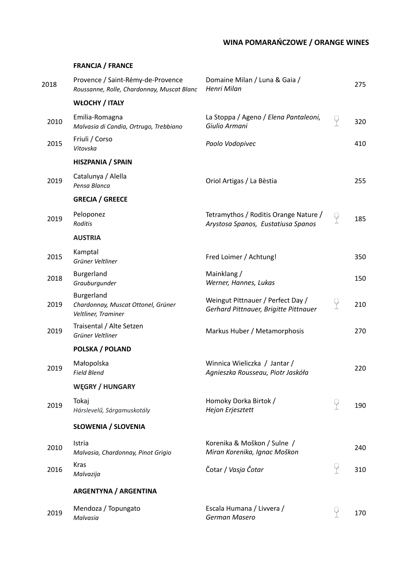## **WINA POMARAŃCZOWE / ORANGE WINES**

#### **FRANCJA / FRANCE**

| 2018 | Provence / Saint-Rémy-de-Provence<br>Roussanne, Rolle, Chardonnay, Muscat Blanc | Domaine Milan / Luna & Gaia /<br>Henri Milan                                |          | 275 |
|------|---------------------------------------------------------------------------------|-----------------------------------------------------------------------------|----------|-----|
|      | <b>WŁOCHY / ITALY</b>                                                           |                                                                             |          |     |
| 2010 | Emilia-Romagna<br>Malvasia di Candia, Ortrugo, Trebbiano                        | La Stoppa / Ageno / Elena Pantaleoni,<br>Giulio Armani                      | $\Theta$ | 320 |
| 2015 | Friuli / Corso<br>Vitovska                                                      | Paolo Vodopivec                                                             |          | 410 |
|      | <b>HISZPANIA / SPAIN</b>                                                        |                                                                             |          |     |
| 2019 | Catalunya / Alella<br>Pensa Blanca                                              | Oriol Artigas / La Bèstia                                                   |          | 255 |
|      | <b>GRECJA / GREECE</b>                                                          |                                                                             |          |     |
| 2019 | Peloponez<br>Roditis                                                            | Tetramythos / Roditis Orange Nature /<br>Arystosa Spanos, Eustatiusa Spanos | 9        | 185 |
|      | <b>AUSTRIA</b>                                                                  |                                                                             |          |     |
| 2015 | Kamptal<br>Grüner Veltliner                                                     | Fred Loimer / Achtung!                                                      |          | 350 |
| 2018 | Burgerland<br>Grauburgunder                                                     | Mainklang /<br>Werner, Hannes, Lukas                                        |          | 150 |
| 2019 | Burgerland<br>Chardonnay, Muscat Ottonel, Grüner<br>Veltliner, Traminer         | Weingut Pittnauer / Perfect Day /<br>Gerhard Pittnauer, Brigitte Pittnauer  | 9        | 210 |
| 2019 | Traisental / Alte Setzen<br>Grüner Veltliner                                    | Markus Huber / Metamorphosis                                                |          | 270 |
|      | <b>POLSKA / POLAND</b>                                                          |                                                                             |          |     |
| 2019 | Małopolska<br><b>Field Blend</b>                                                | Winnica Wieliczka / Jantar /<br>Agnieszka Rousseau, Piotr Jaskóła           |          | 220 |
|      | <b>WEGRY / HUNGARY</b>                                                          |                                                                             |          |     |
| 2019 | Tokaj<br>Hárslevelű, Sárgamuskotály                                             | Homoky Dorka Birtok /<br>Hejon Erjesztett                                   | Ÿ        | 190 |
|      | <b>SŁOWENIA / SLOVENIA</b>                                                      |                                                                             |          |     |
| 2010 | Istria<br>Malvasia, Chardonnay, Pinot Grigio                                    | Korenika & Moškon / Sulne /<br>Miran Korenika, Ignac Moškon                 |          | 240 |
| 2016 | <b>Kras</b><br>Malvazija                                                        | Čotar / Vasja Čotar                                                         | Ÿ        | 310 |
|      | <b>ARGENTYNA / ARGENTINA</b>                                                    |                                                                             |          |     |
| 2019 | Mendoza / Topungato<br>Malvasia                                                 | Escala Humana / Livvera /<br>German Masero                                  |          | 170 |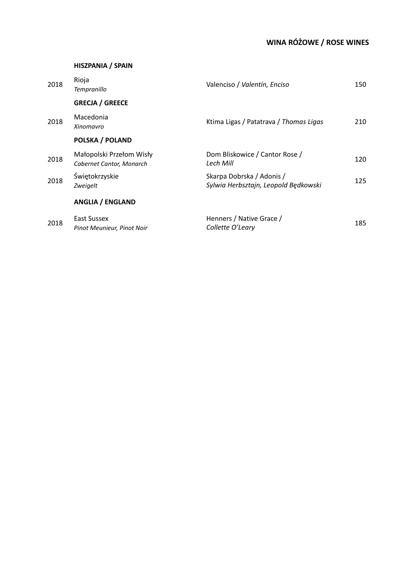# **WINA RÓŻOWE / ROSE WINES**

#### **HISZPANIA / SPAIN**

| 2018 | Rioja<br><b>Tempranillo</b>                          | Valenciso / Valentín, Enciso                                      | 150 |
|------|------------------------------------------------------|-------------------------------------------------------------------|-----|
|      | <b>GRECJA / GREECE</b>                               |                                                                   |     |
| 2018 | Macedonia<br>Xinomavro                               | Ktima Ligas / Patatrava / Thomas Ligas                            | 210 |
|      | <b>POLSKA / POLAND</b>                               |                                                                   |     |
| 2018 | Małopolski Przełom Wisły<br>Cabernet Cantor, Monarch | Dom Bliskowice / Cantor Rose /<br>Lech Mill                       | 120 |
| 2018 | Świętokrzyskie<br>Zweigelt                           | Skarpa Dobrska / Adonis /<br>Sylwia Herbsztajn, Leopold Będkowski | 125 |
|      | <b>ANGLIA / ENGLAND</b>                              |                                                                   |     |
| 2018 | East Sussex<br>Pinot Meunieur, Pinot Noir            | Henners / Native Grace /<br>Collette O'Leary                      | 185 |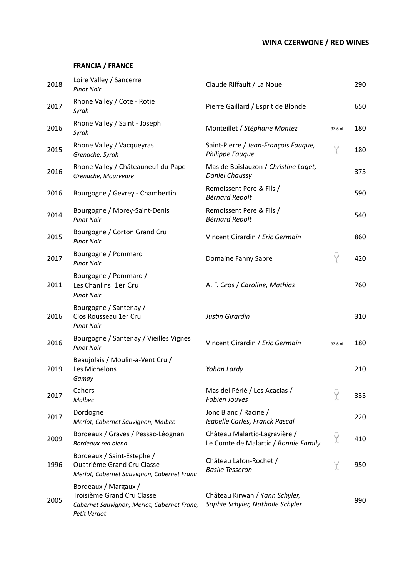## **WINA CZERWONE / RED WINES**

### **FRANCJA / FRANCE**

| 2018 | Loire Valley / Sancerre<br><b>Pinot Noir</b>                                                                      | Claude Riffault / La Noue                                             |         | 290 |
|------|-------------------------------------------------------------------------------------------------------------------|-----------------------------------------------------------------------|---------|-----|
| 2017 | Rhone Valley / Cote - Rotie<br>Syrah                                                                              | Pierre Gaillard / Esprit de Blonde                                    |         | 650 |
| 2016 | Rhone Valley / Saint - Joseph<br>Syrah                                                                            | Monteillet / Stéphane Montez                                          | 37,5 cl | 180 |
| 2015 | Rhone Valley / Vacqueyras<br>Grenache, Syrah                                                                      | Saint-Pierre / Jean-François Fauque,<br>Philippe Fauque               | P       | 180 |
| 2016 | Rhone Valley / Châteauneuf-du-Pape<br>Grenache, Mourvedre                                                         | Mas de Boislauzon / Christine Laget,<br><b>Daniel Chaussy</b>         |         | 375 |
| 2016 | Bourgogne / Gevrey - Chambertin                                                                                   | Remoissent Pere & Fils /<br><b>Bérnard Repolt</b>                     |         | 590 |
| 2014 | Bourgogne / Morey-Saint-Denis<br><b>Pinot Noir</b>                                                                | Remoissent Pere & Fils /<br><b>Bérnard Repolt</b>                     |         | 540 |
| 2015 | Bourgogne / Corton Grand Cru<br><b>Pinot Noir</b>                                                                 | Vincent Girardin / Eric Germain                                       |         | 860 |
| 2017 | Bourgogne / Pommard<br><b>Pinot Noir</b>                                                                          | Domaine Fanny Sabre                                                   | P       | 420 |
| 2011 | Bourgogne / Pommard /<br>Les Chanlins 1er Cru<br><b>Pinot Noir</b>                                                | A. F. Gros / Caroline, Mathias                                        |         | 760 |
| 2016 | Bourgogne / Santenay /<br>Clos Rousseau 1er Cru<br><b>Pinot Noir</b>                                              | <b>Justin Girardin</b>                                                |         | 310 |
| 2016 | Bourgogne / Santenay / Vieilles Vignes<br><b>Pinot Noir</b>                                                       | Vincent Girardin / Eric Germain                                       | 37,5 cl | 180 |
| 2019 | Beaujolais / Moulin-a-Vent Cru /<br>Les Michelons<br>Gamay                                                        | Yohan Lardy                                                           |         | 210 |
| 2017 | Cahors<br><b>Malbec</b>                                                                                           | Mas del Périé / Les Acacias /<br><b>Fabien Jouves</b>                 | q       | 335 |
| 2017 | Dordogne<br>Merlot, Cabernet Sauvignon, Malbec                                                                    | Jonc Blanc / Racine /<br>Isabelle Carles, Franck Pascal               |         | 220 |
| 2009 | Bordeaux / Graves / Pessac-Léognan<br>Bordeaux red blend                                                          | Château Malartic-Lagravière /<br>Le Comte de Malartic / Bonnie Family | Y       | 410 |
| 1996 | Bordeaux / Saint-Estephe /<br>Quatrième Grand Cru Classe<br>Merlot, Cabernet Sauvignon, Cabernet Franc            | Château Lafon-Rochet /<br><b>Basile Tesseron</b>                      | P       | 950 |
| 2005 | Bordeaux / Margaux /<br>Troisième Grand Cru Classe<br>Cabernet Sauvignon, Merlot, Cabernet Franc,<br>Petit Verdot | Château Kirwan / Yann Schyler,<br>Sophie Schyler, Nathaile Schyler    |         | 990 |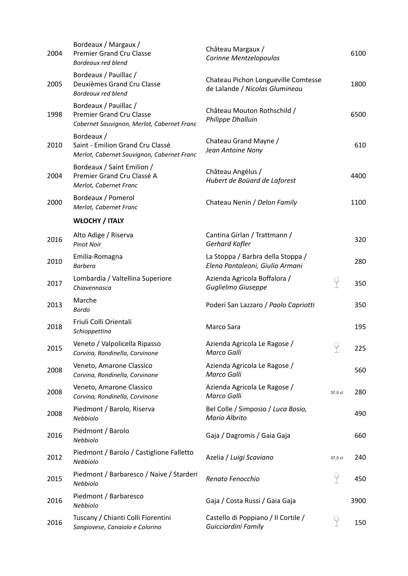| 2004 | Bordeaux / Margaux /<br><b>Premier Grand Cru Classe</b><br><b>Bordeaux red blend</b>                   | Château Margaux /<br>Corinne Mentzelopoulos                           |                 | 6100 |
|------|--------------------------------------------------------------------------------------------------------|-----------------------------------------------------------------------|-----------------|------|
| 2005 | Bordeaux / Pauillac /<br>Deuxièmes Grand Cru Classe<br><b>Bordeaux red blend</b>                       | Chateau Pichon Longueville Comtesse<br>de Lalande / Nicolas Glumineau |                 | 1800 |
| 1998 | Bordeaux / Pauillac /<br><b>Premier Grand Cru Classe</b><br>Cabernet Sauvignon, Merlot, Cabernet Franc | Château Mouton Rothschild /<br>Philippe Dhalluin                      |                 | 6500 |
| 2010 | Bordeaux /<br>Saint - Emilion Grand Cru Classé<br>Merlot, Cabernet Sauvignon, Cabernet Franc           | Chateau Grand Mayne /<br>Jean Antoine Nony                            |                 | 610  |
| 2004 | Bordeaux / Saint Emilion /<br>Premier Grand Cru Classé A<br>Merlot, Cabernet Franc                     | Château Angélus /<br>Hubert de Boüard de Laforest                     |                 | 4400 |
| 2000 | Bordeaux / Pomerol<br>Merlot, Cabernet Franc                                                           | Chateau Nenin / Delon Family                                          |                 | 1100 |
|      | <b>WŁOCHY / ITALY</b>                                                                                  |                                                                       |                 |      |
| 2016 | Alto Adige / Riserva<br><b>Pinot Noir</b>                                                              | Cantina Girlan / Trattmann /<br>Gerhard Kofler                        |                 | 320  |
| 2010 | Emilia-Romagna<br><b>Barbera</b>                                                                       | La Stoppa / Barbra della Stoppa /<br>Elena Pantaleoni, Giulio Armani  |                 | 280  |
| 2017 | Lombardia / Valtellina Superiore<br>Chiavennasca                                                       | Azienda Agricola Boffalora /<br>Guglielmo Giuseppe                    | Y               | 350  |
| 2013 | Marche<br><b>Bordo</b>                                                                                 | Poderi San Lazzaro / Paolo Capriotti                                  |                 | 350  |
| 2018 | Friuli Colli Orientali<br>Schioppettino                                                                | Marco Sara                                                            |                 | 195  |
| 2015 | Veneto / Valpolicella Ripasso<br>Corvina, Rondinella, Corvinone                                        | Azienda Agricola Le Ragose /<br>Marco Galli                           | $\bigcirc$<br>T | 225  |
| 2008 | Veneto, Amarone Classico<br>Corvina, Rondinella, Corvinone                                             | Azienda Agricola Le Ragose /<br>Marco Galli                           |                 | 560  |
| 2008 | Veneto, Amarone Classico<br>Corvina, Rondinella, Corvinone                                             | Azienda Agricola Le Ragose /<br>Marco Galli                           | 37,5 cl         | 280  |
| 2008 | Piedmont / Barolo, Riserva<br>Nebbiolo                                                                 | Bel Colle / Simposio / Luca Bosio,<br>Mario Albrito                   |                 | 490  |
| 2016 | Piedmont / Barolo<br>Nebbiolo                                                                          | Gaja / Dagromis / Gaia Gaja                                           |                 | 660  |
| 2012 | Piedmont / Barolo / Castiglione Falletto<br>Nebbiolo                                                   | Azelia / Luigi Scaviano                                               | 37,5 cl         | 240  |
| 2015 | Piedmont / Barbaresco / Naive / Starderi<br>Nebbiolo                                                   | Renato Fenocchio                                                      | Y               | 450  |
| 2016 | Piedmont / Barbaresco<br>Nebbiolo                                                                      | Gaja / Costa Russi / Gaia Gaja                                        |                 | 3900 |
| 2016 | Tuscany / Chianti Colli Fiorentini<br>Sangiovese, Canaiolo e Colorino                                  | Castello di Poppiano / Il Cortile /<br>Guicciardini Family            | Y               | 150  |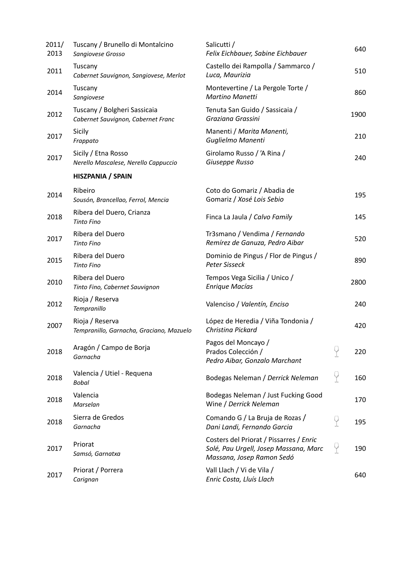| 2011/<br>2013 | Tuscany / Brunello di Montalcino<br>Sangiovese Grosso              | Salicutti /<br>Felix Eichbauer, Sabine Eichbauer                                                              |   | 640  |
|---------------|--------------------------------------------------------------------|---------------------------------------------------------------------------------------------------------------|---|------|
| 2011          | Tuscany<br>Cabernet Sauvignon, Sangiovese, Merlot                  | Castello dei Rampolla / Sammarco /<br>Luca, Maurizia                                                          |   | 510  |
| 2014          | Tuscany<br>Sangiovese                                              | Montevertine / La Pergole Torte /<br><b>Martino Manetti</b>                                                   |   | 860  |
| 2012          | Tuscany / Bolgheri Sassicaia<br>Cabernet Sauvignon, Cabernet Franc | Tenuta San Guido / Sassicaia /<br>Graziana Grassini                                                           |   | 1900 |
| 2017          | Sicily<br>Frappato                                                 | Manenti / Marita Manenti,<br>Guglielmo Manenti                                                                |   | 210  |
| 2017          | Sicily / Etna Rosso<br>Nerello Mascalese, Nerello Cappuccio        | Girolamo Russo / 'A Rina /<br>Giuseppe Russo                                                                  |   | 240  |
|               | HISZPANIA / SPAIN                                                  |                                                                                                               |   |      |
| 2014          | Ribeiro<br>Sousón, Brancellao, Ferrol, Mencia                      | Coto do Gomariz / Abadia de<br>Gomariz / Xosé Lois Sebio                                                      |   | 195  |
| 2018          | Ribera del Duero, Crianza<br><b>Tinto Fino</b>                     | Finca La Jaula / Calvo Family                                                                                 |   | 145  |
| 2017          | Ribera del Duero<br><b>Tinto Fino</b>                              | Tr3smano / Vendima / Fernando<br>Remírez de Ganuza, Pedro Aibar                                               |   | 520  |
| 2015          | Ribera del Duero<br><b>Tinto Fino</b>                              | Dominio de Pingus / Flor de Pingus /<br>Peter Sisseck                                                         |   | 890  |
| 2010          | Ribera del Duero<br>Tinto Fino, Cabernet Sauvignon                 | Tempos Vega Sicilia / Unico /<br><b>Enrique Macías</b>                                                        |   | 2800 |
| 2012          | Rioja / Reserva<br>Tempranillo                                     | Valenciso / Valentín, Enciso                                                                                  |   | 240  |
| 2007          | Rioja / Reserva<br>Tempranillo, Garnacha, Graciano, Mazuelo        | López de Heredia / Viña Tondonia /<br>Christina Pickard                                                       |   | 420  |
| 2018          | Aragón / Campo de Borja<br>Garnacha                                | Pagos del Moncayo /<br>Prados Colección /<br>Pedro Aibar, Gonzalo Marchant                                    |   | 220  |
| 2018          | Valencia / Utiel - Requena<br><b>Bobal</b>                         | Bodegas Neleman / Derrick Neleman                                                                             | Ÿ | 160  |
| 2018          | Valencia<br>Marselan                                               | Bodegas Neleman / Just Fucking Good<br>Wine / Derrick Neleman                                                 |   | 170  |
| 2018          | Sierra de Gredos<br>Garnacha                                       | Comando G / La Bruja de Rozas /<br>Dani Landi, Fernando Garcia                                                | Y | 195  |
| 2017          | Priorat<br>Samsó, Garnatxa                                         | Costers del Priorat / Pissarres / Enric<br>Solé, Pau Urgell, Josep Massana, Marc<br>Massana, Josep Ramon Sedó | Y | 190  |
| 2017          | Priorat / Porrera<br>Carignan                                      | Vall Llach / Vi de Vila /<br>Enric Costa, Lluís Llach                                                         |   | 640  |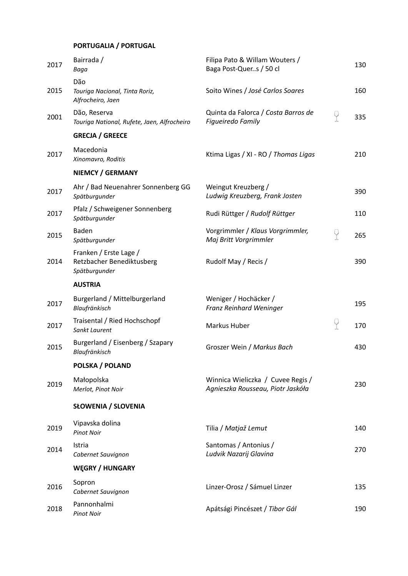## **PORTUGALIA / PORTUGAL**

| 2017 | Bairrada /<br>Baga                                                   | Filipa Pato & Willam Wouters /<br>Baga Post-Quers / 50 cl              |   | 130 |
|------|----------------------------------------------------------------------|------------------------------------------------------------------------|---|-----|
| 2015 | Dão<br>Touriga Nacional, Tinta Roriz,<br>Alfrocheiro, Jaen           | Soito Wines / José Carlos Soares                                       |   | 160 |
| 2001 | Dão, Reserva<br>Touriga National, Rufete, Jaen, Alfrocheiro          | Quinta da Falorca / Costa Barros de<br>Figueiredo Family               | P | 335 |
|      | <b>GRECJA / GREECE</b>                                               |                                                                        |   |     |
| 2017 | Macedonia<br>Xinomavro, Roditis                                      | Ktima Ligas / XI - RO / Thomas Ligas                                   |   | 210 |
|      | <b>NIEMCY / GERMANY</b>                                              |                                                                        |   |     |
| 2017 | Ahr / Bad Neuenahrer Sonnenberg GG<br>Spätburgunder                  | Weingut Kreuzberg /<br>Ludwig Kreuzberg, Frank Josten                  |   | 390 |
| 2017 | Pfalz / Schweigener Sonnenberg<br>Spätburgunder                      | Rudi Rüttger / Rudolf Rüttger                                          |   | 110 |
| 2015 | <b>Baden</b><br>Spätburgunder                                        | Vorgrimmler / Klaus Vorgrimmler,<br>Maj Britt Vorgrimmler              | 9 | 265 |
| 2014 | Franken / Erste Lage /<br>Retzbacher Benediktusberg<br>Spätburgunder | Rudolf May / Recis /                                                   |   | 390 |
|      | <b>AUSTRIA</b>                                                       |                                                                        |   |     |
| 2017 | Burgerland / Mittelburgerland<br>Blaufränkisch                       | Weniger / Hochäcker /<br>Franz Reinhard Weninger                       |   | 195 |
| 2017 | Traisental / Ried Hochschopf<br>Sankt Laurent                        | Markus Huber                                                           | 9 | 170 |
| 2015 | Burgerland / Eisenberg / Szapary<br>Blaufränkisch                    | Groszer Wein / Markus Bach                                             |   | 430 |
|      | <b>POLSKA / POLAND</b>                                               |                                                                        |   |     |
| 2019 | Małopolska<br>Merlot, Pinot Noir                                     | Winnica Wieliczka / Cuvee Regis /<br>Agnieszka Rousseau, Piotr Jaskóła |   | 230 |
|      | <b>SŁOWENIA / SLOVENIA</b>                                           |                                                                        |   |     |
| 2019 | Vipavska dolina<br><b>Pinot Noir</b>                                 | Tilia / Matjaž Lemut                                                   |   | 140 |
| 2014 | Istria<br>Cabernet Sauvignon                                         | Santomas / Antonius /<br>Ludvik Nazarij Glavina                        |   | 270 |
|      | <b>WEGRY / HUNGARY</b>                                               |                                                                        |   |     |
| 2016 | Sopron<br>Cabernet Sauvignon                                         | Linzer-Orosz / Sámuel Linzer                                           |   | 135 |
| 2018 | Pannonhalmi<br><b>Pinot Noir</b>                                     | Apátsági Pincészet / Tibor Gál                                         |   | 190 |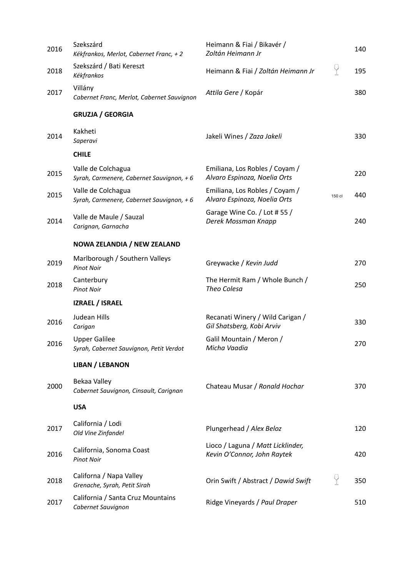| 2016 | Szekszárd<br>Kékfrankos, Merlot, Cabernet Franc, + 2            | Heimann & Fiai / Bikavér /<br>Zoltán Heimann Jr                  |        | 140 |
|------|-----------------------------------------------------------------|------------------------------------------------------------------|--------|-----|
| 2018 | Szekszárd / Bati Kereszt<br>Kékfrankos                          | Heimann & Fiai / Zoltán Heimann Jr                               | 9      | 195 |
| 2017 | Villány<br>Cabernet Franc, Merlot, Cabernet Sauvignon           | Attila Gere / Kopár                                              |        | 380 |
|      | <b>GRUZJA / GEORGIA</b>                                         |                                                                  |        |     |
| 2014 | Kakheti<br>Saperavi                                             | Jakeli Wines / Zaza Jakeli                                       |        | 330 |
|      | <b>CHILE</b>                                                    |                                                                  |        |     |
| 2015 | Valle de Colchagua<br>Syrah, Carmenere, Cabernet Sauvignon, + 6 | Emiliana, Los Robles / Coyam /<br>Alvaro Espinoza, Noelia Orts   |        | 220 |
| 2015 | Valle de Colchagua<br>Syrah, Carmenere, Cabernet Sauvignon, + 6 | Emiliana, Los Robles / Coyam /<br>Alvaro Espinoza, Noelia Orts   | 150 cl | 440 |
| 2014 | Valle de Maule / Sauzal<br>Carignan, Garnacha                   | Garage Wine Co. / Lot #55 /<br>Derek Mossman Knapp               |        | 240 |
|      | NOWA ZELANDIA / NEW ZEALAND                                     |                                                                  |        |     |
| 2019 | Marlborough / Southern Valleys<br><b>Pinot Noir</b>             | Greywacke / Kevin Judd                                           |        | 270 |
| 2018 | Canterbury<br><b>Pinot Noir</b>                                 | The Hermit Ram / Whole Bunch /<br>Theo Colesa                    |        | 250 |
|      | <b>IZRAEL / ISRAEL</b>                                          |                                                                  |        |     |
| 2016 | Judean Hills<br>Carigan                                         | Recanati Winery / Wild Carigan /<br>Gil Shatsberg, Kobi Arviv    |        | 330 |
| 2016 | <b>Upper Galilee</b><br>Syrah, Cabernet Sauvignon, Petit Verdot | Galil Mountain / Meron /<br>Micha Vaadia                         |        | 270 |
|      | <b>LIBAN / LEBANON</b>                                          |                                                                  |        |     |
| 2000 | Bekaa Valley<br>Cabernet Sauvignon, Cinsault, Carignan          | Chateau Musar / Ronald Hochar                                    |        | 370 |
|      | <b>USA</b>                                                      |                                                                  |        |     |
| 2017 | California / Lodi<br>Old Vine Zinfandel                         | Plungerhead / Alex Beloz                                         |        | 120 |
| 2016 | California, Sonoma Coast<br><b>Pinot Noir</b>                   | Lioco / Laguna / Matt Licklinder,<br>Kevin O'Connor, John Raytek |        | 420 |
| 2018 | Californa / Napa Valley<br>Grenache, Syrah, Petit Sirah         | Orin Swift / Abstract / Dawid Swift                              | Ÿ      | 350 |
| 2017 | California / Santa Cruz Mountains<br>Cabernet Sauvignon         | Ridge Vineyards / Paul Draper                                    |        | 510 |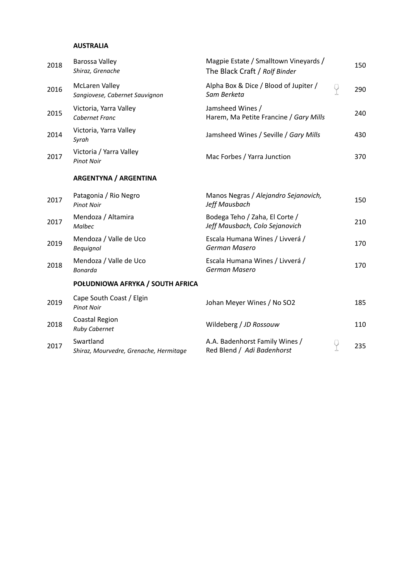#### **AUSTRALIA**

| 2018 | Barossa Valley<br>Shiraz, Grenache                      | Magpie Estate / Smalltown Vineyards /<br>The Black Craft / Rolf Binder |   | 150 |
|------|---------------------------------------------------------|------------------------------------------------------------------------|---|-----|
| 2016 | <b>McLaren Valley</b><br>Sangiovese, Cabernet Sauvignon | Alpha Box & Dice / Blood of Jupiter /<br>Sam Berketa                   | 9 | 290 |
| 2015 | Victoria, Yarra Valley<br>Cabernet Franc                | Jamsheed Wines /<br>Harem, Ma Petite Francine / Gary Mills             |   | 240 |
| 2014 | Victoria, Yarra Valley<br>Syrah                         | Jamsheed Wines / Seville / Gary Mills                                  |   | 430 |
| 2017 | Victoria / Yarra Valley<br><b>Pinot Noir</b>            | Mac Forbes / Yarra Junction                                            |   | 370 |
|      | <b>ARGENTYNA / ARGENTINA</b>                            |                                                                        |   |     |
| 2017 | Patagonia / Rio Negro<br><b>Pinot Noir</b>              | Manos Negras / Alejandro Sejanovich,<br>Jeff Mausbach                  |   | 150 |
| 2017 | Mendoza / Altamira<br>Malbec                            | Bodega Teho / Zaha, El Corte /<br>Jeff Mausbach, Colo Sejanovich       |   | 210 |
| 2019 | Mendoza / Valle de Uco<br>Bequignol                     | Escala Humana Wines / Livverá /<br>German Masero                       |   | 170 |
| 2018 | Mendoza / Valle de Uco<br>Bonarda                       | Escala Humana Wines / Livverá /<br>German Masero                       |   | 170 |
|      | POŁUDNIOWA AFRYKA / SOUTH AFRICA                        |                                                                        |   |     |
| 2019 | Cape South Coast / Elgin<br><b>Pinot Noir</b>           | Johan Meyer Wines / No SO2                                             |   | 185 |
| 2018 | Coastal Region<br><b>Ruby Cabernet</b>                  | Wildeberg / JD Rossouw                                                 |   | 110 |
| 2017 | Swartland<br>Shiraz, Mourvedre, Grenache, Hermitage     | A.A. Badenhorst Family Wines /<br>Red Blend / Adi Badenhorst           | Ÿ | 235 |